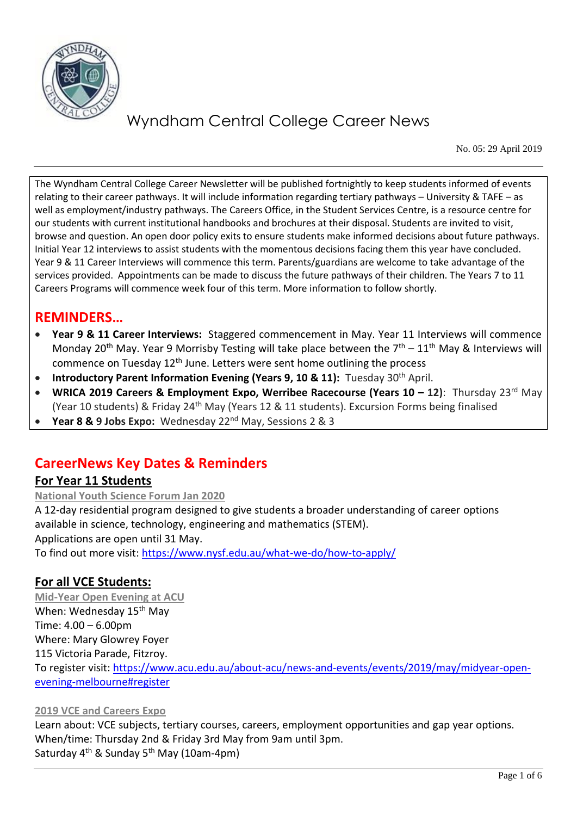

No. 05: 29 April 2019

The Wyndham Central College Career Newsletter will be published fortnightly to keep students informed of events relating to their career pathways. It will include information regarding tertiary pathways – University & TAFE – as well as employment/industry pathways. The Careers Office, in the Student Services Centre, is a resource centre for our students with current institutional handbooks and brochures at their disposal. Students are invited to visit, browse and question. An open door policy exits to ensure students make informed decisions about future pathways. Initial Year 12 interviews to assist students with the momentous decisions facing them this year have concluded. Year 9 & 11 Career Interviews will commence this term. Parents/guardians are welcome to take advantage of the services provided. Appointments can be made to discuss the future pathways of their children. The Years 7 to 11 Careers Programs will commence week four of this term. More information to follow shortly.

### **REMINDERS…**

- **Year 9 & 11 Career Interviews:** Staggered commencement in May. Year 11 Interviews will commence Monday 20<sup>th</sup> May. Year 9 Morrisby Testing will take place between the  $7<sup>th</sup> - 11<sup>th</sup>$  May & Interviews will commence on Tuesday  $12<sup>th</sup>$  June. Letters were sent home outlining the process
- **Introductory Parent Information Evening (Years 9, 10 & 11):** Tuesday 30<sup>th</sup> April.
- **WRICA 2019 Careers & Employment Expo, Werribee Racecourse (Years 10 12): Thursday 23<sup>rd</sup> May** (Year 10 students) & Friday 24th May (Years 12 & 11 students). Excursion Forms being finalised
- **Year 8 & 9 Jobs Expo:** Wednesday 22nd May, Sessions 2 & 3

### **CareerNews Key Dates & Reminders**

#### **For Year 11 Students**

**National Youth Science Forum Jan 2020**

A 12-day residential program designed to give students a broader understanding of career options available in science, technology, engineering and mathematics (STEM). Applications are open until 31 May.

To find out more visit:<https://www.nysf.edu.au/what-we-do/how-to-apply/>

#### **For all VCE Students:**

**Mid-Year Open Evening at ACU** When: Wednesday 15<sup>th</sup> May Time: 4.00 – 6.00pm Where: Mary Glowrey Foyer 115 Victoria Parade, Fitzroy. To register visit: [https://www.acu.edu.au/about-acu/news-and-events/events/2019/may/midyear-open](https://www.acu.edu.au/about-acu/news-and-events/events/2019/may/midyear-open-evening-melbourne#register)[evening-melbourne#register](https://www.acu.edu.au/about-acu/news-and-events/events/2019/may/midyear-open-evening-melbourne#register)

#### **2019 VCE and Careers Expo**

Learn about: VCE subjects, tertiary courses, careers, employment opportunities and gap year options. When/time: Thursday 2nd & Friday 3rd May from 9am until 3pm. Saturday 4<sup>th</sup> & Sunday 5<sup>th</sup> May (10am-4pm)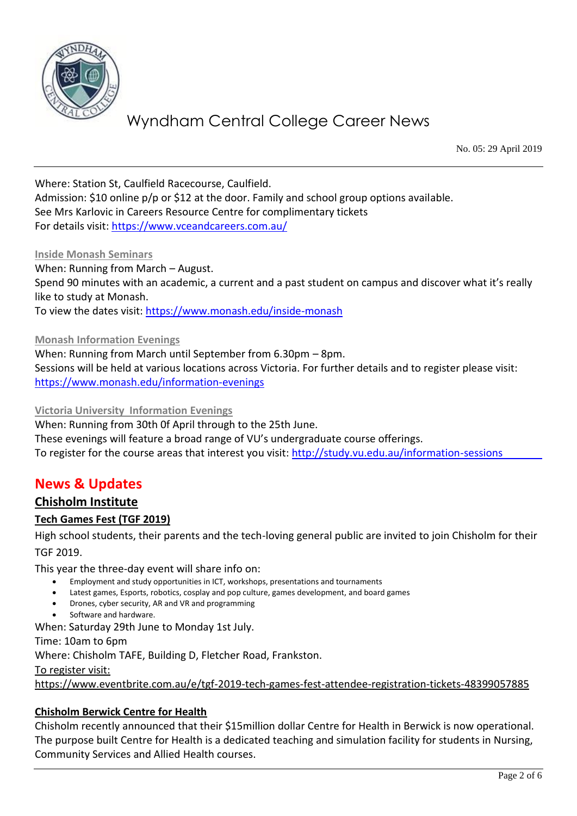

No. 05: 29 April 2019

Where: Station St, Caulfield Racecourse, Caulfield. Admission: \$10 online p/p or \$12 at the door. Family and school group options available. See Mrs Karlovic in Careers Resource Centre for complimentary tickets For details visit:<https://www.vceandcareers.com.au/>

#### **Inside Monash Seminars**

When: Running from March – August. Spend 90 minutes with an academic, a current and a past student on campus and discover what it's really like to study at Monash. To view the dates visit:<https://www.monash.edu/inside-monash>

**Monash Information Evenings**

When: Running from March until September from 6.30pm – 8pm. Sessions will be held at various locations across Victoria. For further details and to register please visit: <https://www.monash.edu/information-evenings>

#### **Victoria University Information Evenings**

When: Running from 30th 0f April through to the 25th June. These evenings will feature a broad range of VU's undergraduate course offerings. To register for the course areas that interest you visit:<http://study.vu.edu.au/information-sessions>

### **News & Updates**

### **Chisholm Institute**

#### **Tech Games Fest (TGF 2019)**

High school students, their parents and the tech-loving general public are invited to join Chisholm for their TGF 2019.

This year the three-day event will share info on:

- Employment and study opportunities in ICT, workshops, presentations and tournaments
- Latest games, Esports, robotics, cosplay and pop culture, games development, and board games
- Drones, cyber security, AR and VR and programming
- Software and hardware.

When: Saturday 29th June to Monday 1st July.

Time: 10am to 6pm

Where: Chisholm TAFE, Building D, Fletcher Road, Frankston.

To register visit:

<https://www.eventbrite.com.au/e/tgf-2019-tech-games-fest-attendee-registration-tickets-48399057885>

#### **Chisholm Berwick Centre for Health**

Chisholm recently announced that their \$15million dollar Centre for Health in Berwick is now operational. The purpose built Centre for Health is a dedicated teaching and simulation facility for students in Nursing, Community Services and Allied Health courses.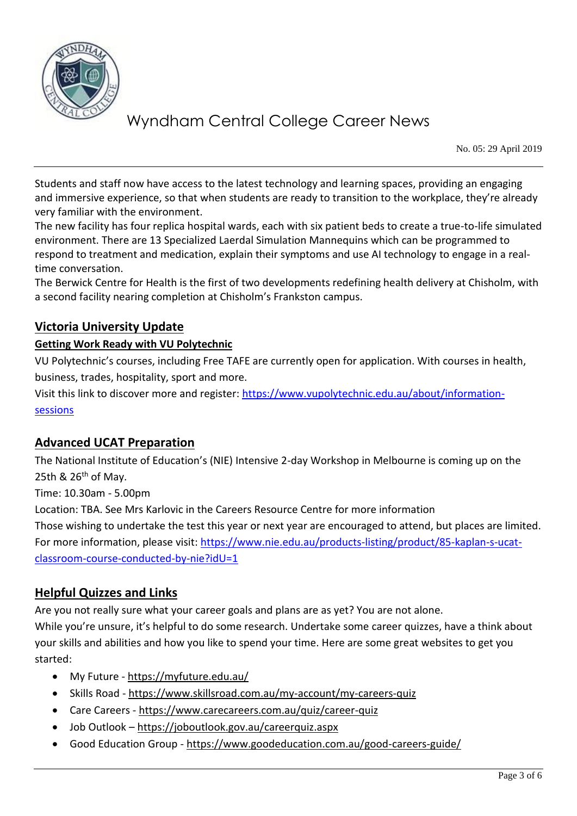

No. 05: 29 April 2019

Students and staff now have access to the latest technology and learning spaces, providing an engaging and immersive experience, so that when students are ready to transition to the workplace, they're already very familiar with the environment.

The new facility has four replica hospital wards, each with six patient beds to create a true-to-life simulated environment. There are 13 Specialized Laerdal Simulation Mannequins which can be programmed to respond to treatment and medication, explain their symptoms and use AI technology to engage in a realtime conversation.

The Berwick Centre for Health is the first of two developments redefining health delivery at Chisholm, with a second facility nearing completion at Chisholm's Frankston campus.

### **Victoria University Update**

#### **Getting Work Ready with VU Polytechnic**

VU Polytechnic's courses, including Free TAFE are currently open for application. With courses in health, business, trades, hospitality, sport and more.

Visit this link to discover more and register: [https://www.vupolytechnic.edu.au/about/information](https://www.vupolytechnic.edu.au/about/information-sessions)[sessions](https://www.vupolytechnic.edu.au/about/information-sessions)

#### **Advanced UCAT Preparation**

The National Institute of Education's (NIE) Intensive 2-day Workshop in Melbourne is coming up on the 25th  $\&$  26<sup>th</sup> of May.

Time: 10.30am - 5.00pm

Location: TBA. See Mrs Karlovic in the Careers Resource Centre for more information

Those wishing to undertake the test this year or next year are encouraged to attend, but places are limited. For more information, please visit: [https://www.nie.edu.au/products-listing/product/85-kaplan-s-ucat](https://www.nie.edu.au/products-listing/product/85-kaplan-s-ucat-classroom-course-conducted-by-nie?idU=1)[classroom-course-conducted-by-nie?idU=1](https://www.nie.edu.au/products-listing/product/85-kaplan-s-ucat-classroom-course-conducted-by-nie?idU=1)

#### **Helpful Quizzes and Links**

Are you not really sure what your career goals and plans are as yet? You are not alone.

While you're unsure, it's helpful to do some research. Undertake some career quizzes, have a think about your skills and abilities and how you like to spend your time. Here are some great websites to get you started:

- My Future <https://myfuture.edu.au/>
- Skills Road <https://www.skillsroad.com.au/my-account/my-careers-quiz>
- Care Careers <https://www.carecareers.com.au/quiz/career-quiz>
- Job Outlook <https://joboutlook.gov.au/careerquiz.aspx>
- Good Education Group <https://www.goodeducation.com.au/good-careers-guide/>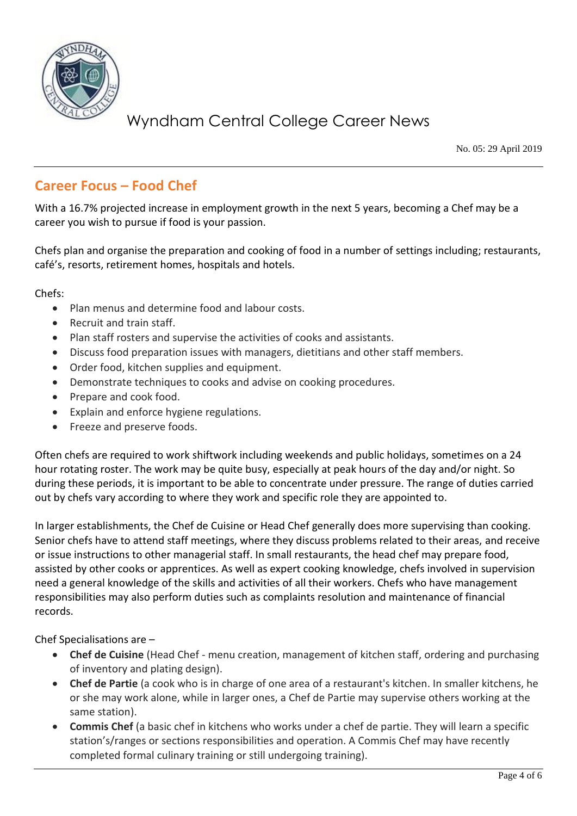

No. 05: 29 April 2019

### **Career Focus – Food Chef**

With a 16.7% projected increase in employment growth in the next 5 years, becoming a Chef may be a career you wish to pursue if food is your passion.

Chefs plan and organise the preparation and cooking of food in a number of settings including; restaurants, café's, resorts, retirement homes, hospitals and hotels.

Chefs:

- Plan menus and determine food and labour costs.
- Recruit and train staff.
- Plan staff rosters and supervise the activities of cooks and assistants.
- Discuss food preparation issues with managers, dietitians and other staff members.
- Order food, kitchen supplies and equipment.
- Demonstrate techniques to cooks and advise on cooking procedures.
- Prepare and cook food.
- Explain and enforce hygiene regulations.
- Freeze and preserve foods.

Often chefs are required to work shiftwork including weekends and public holidays, sometimes on a 24 hour rotating roster. The work may be quite busy, especially at peak hours of the day and/or night. So during these periods, it is important to be able to concentrate under pressure. The range of duties carried out by chefs vary according to where they work and specific role they are appointed to.

In larger establishments, the Chef de Cuisine or Head Chef generally does more supervising than cooking. Senior chefs have to attend staff meetings, where they discuss problems related to their areas, and receive or issue instructions to other managerial staff. In small restaurants, the head chef may prepare food, assisted by other cooks or apprentices. As well as expert cooking knowledge, chefs involved in supervision need a general knowledge of the skills and activities of all their workers. Chefs who have management responsibilities may also perform duties such as complaints resolution and maintenance of financial records.

Chef Specialisations are –

- **Chef de Cuisine** (Head Chef menu creation, management of kitchen staff, ordering and purchasing of inventory and plating design).
- **Chef de Partie** (a cook who is in charge of one area of a restaurant's kitchen. In smaller kitchens, he or she may work alone, while in larger ones, a Chef de Partie may supervise others working at the same station).
- **Commis Chef** (a basic chef in kitchens who works under a chef de partie. They will learn a specific station's/ranges or sections responsibilities and operation. A Commis Chef may have recently completed formal culinary training or still undergoing training).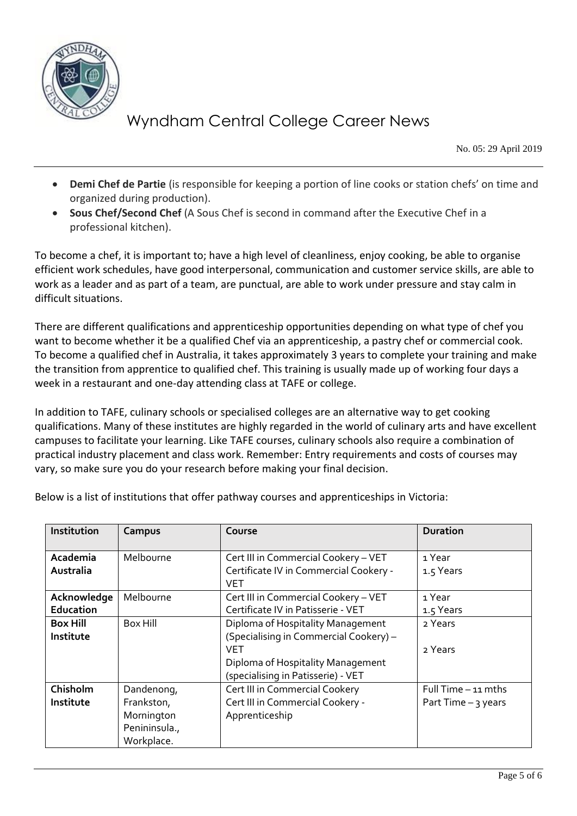

No. 05: 29 April 2019

- **Demi Chef de Partie** (is responsible for keeping a portion of line cooks or station chefs' on time and organized during production).
- **Sous Chef/Second Chef** (A Sous Chef is second in command after the Executive Chef in a professional kitchen).

To become a chef, it is important to; have a high level of cleanliness, enjoy cooking, be able to organise efficient work schedules, have good interpersonal, communication and customer service skills, are able to work as a leader and as part of a team, are punctual, are able to work under pressure and stay calm in difficult situations.

There are different qualifications and apprenticeship opportunities depending on what type of chef you want to become whether it be a qualified Chef via an apprenticeship, a pastry chef or commercial cook. To become a qualified chef in Australia, it takes approximately 3 years to complete your training and make the transition from apprentice to qualified chef. This training is usually made up of working four days a week in a restaurant and one-day attending class at TAFE or college.

In addition to TAFE, culinary schools or specialised colleges are an alternative way to get cooking qualifications. Many of these institutes are highly regarded in the world of culinary arts and have excellent campuses to facilitate your learning. Like TAFE courses, culinary schools also require a combination of practical industry placement and class work. Remember: Entry requirements and costs of courses may vary, so make sure you do your research before making your final decision.

| Institution                  | Campus                                                                | Course                                                                                                                                                               | <b>Duration</b>                               |
|------------------------------|-----------------------------------------------------------------------|----------------------------------------------------------------------------------------------------------------------------------------------------------------------|-----------------------------------------------|
| Academia<br>Australia        | Melbourne                                                             | Cert III in Commercial Cookery - VET<br>Certificate IV in Commercial Cookery -<br><b>VET</b>                                                                         | 1 Year<br>1.5 Years                           |
| Acknowledge<br>Education     | Melbourne                                                             | Cert III in Commercial Cookery - VET<br>Certificate IV in Patisserie - VET                                                                                           | 1 Year<br>1.5 Years                           |
| <b>Box Hill</b><br>Institute | Box Hill                                                              | Diploma of Hospitality Management<br>(Specialising in Commercial Cookery) -<br><b>VET</b><br>Diploma of Hospitality Management<br>(specialising in Patisserie) - VET | 2 Years<br>2 Years                            |
| Chisholm<br>Institute        | Dandenong,<br>Frankston,<br>Mornington<br>Penininsula.,<br>Workplace. | Cert III in Commercial Cookery<br>Cert III in Commercial Cookery -<br>Apprenticeship                                                                                 | Full Time $-11$ mths<br>Part Time $-$ 3 years |

Below is a list of institutions that offer pathway courses and apprenticeships in Victoria: